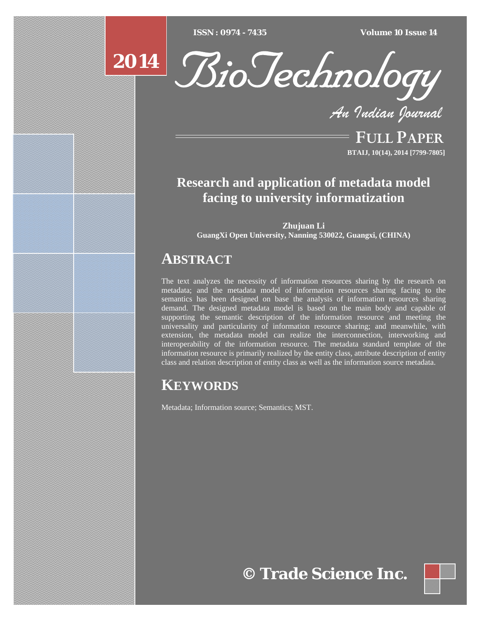$\overline{ISSN} : 0974 - 7435$ 

*ISSN : 0974 - 7435 Volume 10 Issue 14*



*An Indian Journal*

FULL PAPER **BTAIJ, 10(14), 2014 [7799-7805]**

## **Research and application of metadata model facing to university informatization**

**Zhujuan Li GuangXi Open University, Nanning 530022, Guangxi, (CHINA)**

### **ABSTRACT**

The text analyzes the necessity of information resources sharing by the research on metadata; and the metadata model of information resources sharing facing to the semantics has been designed on base the analysis of information resources sharing demand. The designed metadata model is based on the main body and capable of supporting the semantic description of the information resource and meeting the universality and particularity of information resource sharing; and meanwhile, with extension, the metadata model can realize the interconnection, interworking and interoperability of the information resource. The metadata standard template of the information resource is primarily realized by the entity class, attribute description of entity class and relation description of entity class as well as the information source metadata.

# **KEYWORDS**

Metadata; Information source; Semantics; MST.

**© Trade Science Inc.**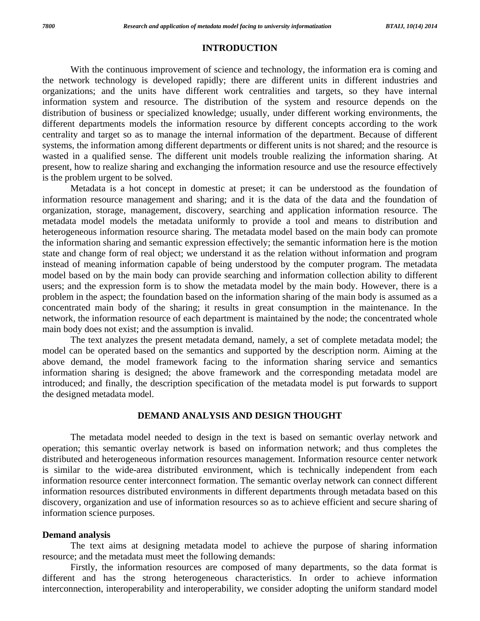#### **INTRODUCTION**

With the continuous improvement of science and technology, the information era is coming and the network technology is developed rapidly; there are different units in different industries and organizations; and the units have different work centralities and targets, so they have internal information system and resource. The distribution of the system and resource depends on the distribution of business or specialized knowledge; usually, under different working environments, the different departments models the information resource by different concepts according to the work centrality and target so as to manage the internal information of the department. Because of different systems, the information among different departments or different units is not shared; and the resource is wasted in a qualified sense. The different unit models trouble realizing the information sharing. At present, how to realize sharing and exchanging the information resource and use the resource effectively is the problem urgent to be solved.

 Metadata is a hot concept in domestic at preset; it can be understood as the foundation of information resource management and sharing; and it is the data of the data and the foundation of organization, storage, management, discovery, searching and application information resource. The metadata model models the metadata uniformly to provide a tool and means to distribution and heterogeneous information resource sharing. The metadata model based on the main body can promote the information sharing and semantic expression effectively; the semantic information here is the motion state and change form of real object; we understand it as the relation without information and program instead of meaning information capable of being understood by the computer program. The metadata model based on by the main body can provide searching and information collection ability to different users; and the expression form is to show the metadata model by the main body. However, there is a problem in the aspect; the foundation based on the information sharing of the main body is assumed as a concentrated main body of the sharing; it results in great consumption in the maintenance. In the network, the information resource of each department is maintained by the node; the concentrated whole main body does not exist; and the assumption is invalid.

 The text analyzes the present metadata demand, namely, a set of complete metadata model; the model can be operated based on the semantics and supported by the description norm. Aiming at the above demand, the model framework facing to the information sharing service and semantics information sharing is designed; the above framework and the corresponding metadata model are introduced; and finally, the description specification of the metadata model is put forwards to support the designed metadata model.

### **DEMAND ANALYSIS AND DESIGN THOUGHT**

 The metadata model needed to design in the text is based on semantic overlay network and operation; this semantic overlay network is based on information network; and thus completes the distributed and heterogeneous information resources management. Information resource center network is similar to the wide-area distributed environment, which is technically independent from each information resource center interconnect formation. The semantic overlay network can connect different information resources distributed environments in different departments through metadata based on this discovery, organization and use of information resources so as to achieve efficient and secure sharing of information science purposes.

#### **Demand analysis**

 The text aims at designing metadata model to achieve the purpose of sharing information resource; and the metadata must meet the following demands:

 Firstly, the information resources are composed of many departments, so the data format is different and has the strong heterogeneous characteristics. In order to achieve information interconnection, interoperability and interoperability, we consider adopting the uniform standard model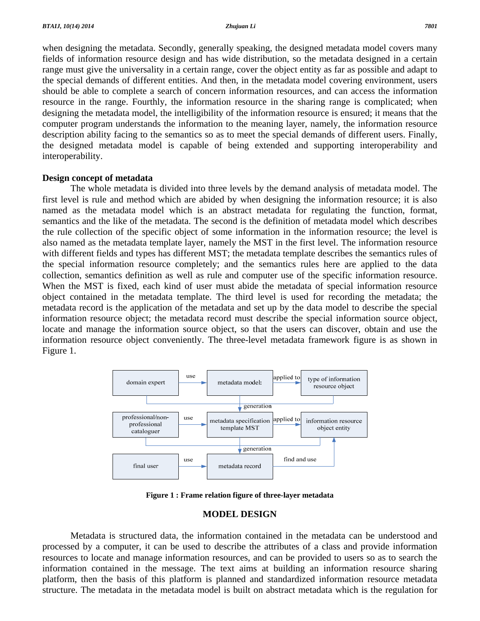when designing the metadata. Secondly, generally speaking, the designed metadata model covers many fields of information resource design and has wide distribution, so the metadata designed in a certain range must give the universality in a certain range, cover the object entity as far as possible and adapt to the special demands of different entities. And then, in the metadata model covering environment, users should be able to complete a search of concern information resources, and can access the information resource in the range. Fourthly, the information resource in the sharing range is complicated; when designing the metadata model, the intelligibility of the information resource is ensured; it means that the computer program understands the information to the meaning layer, namely, the information resource description ability facing to the semantics so as to meet the special demands of different users. Finally, the designed metadata model is capable of being extended and supporting interoperability and interoperability.

#### **Design concept of metadata**

 The whole metadata is divided into three levels by the demand analysis of metadata model. The first level is rule and method which are abided by when designing the information resource; it is also named as the metadata model which is an abstract metadata for regulating the function, format, semantics and the like of the metadata. The second is the definition of metadata model which describes the rule collection of the specific object of some information in the information resource; the level is also named as the metadata template layer, namely the MST in the first level. The information resource with different fields and types has different MST; the metadata template describes the semantics rules of the special information resource completely; and the semantics rules here are applied to the data collection, semantics definition as well as rule and computer use of the specific information resource. When the MST is fixed, each kind of user must abide the metadata of special information resource object contained in the metadata template. The third level is used for recording the metadata; the metadata record is the application of the metadata and set up by the data model to describe the special information resource object; the metadata record must describe the special information source object, locate and manage the information source object, so that the users can discover, obtain and use the information resource object conveniently. The three-level metadata framework figure is as shown in Figure 1.



**Figure 1 : Frame relation figure of three-layer metadata** 

### **MODEL DESIGN**

 Metadata is structured data, the information contained in the metadata can be understood and processed by a computer, it can be used to describe the attributes of a class and provide information resources to locate and manage information resources, and can be provided to users so as to search the information contained in the message. The text aims at building an information resource sharing platform, then the basis of this platform is planned and standardized information resource metadata structure. The metadata in the metadata model is built on abstract metadata which is the regulation for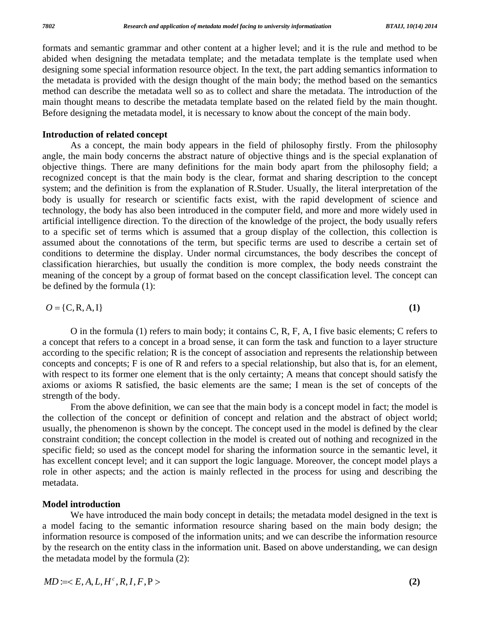formats and semantic grammar and other content at a higher level; and it is the rule and method to be abided when designing the metadata template; and the metadata template is the template used when designing some special information resource object. In the text, the part adding semantics information to the metadata is provided with the design thought of the main body; the method based on the semantics method can describe the metadata well so as to collect and share the metadata. The introduction of the main thought means to describe the metadata template based on the related field by the main thought. Before designing the metadata model, it is necessary to know about the concept of the main body.

### **Introduction of related concept**

 As a concept, the main body appears in the field of philosophy firstly. From the philosophy angle, the main body concerns the abstract nature of objective things and is the special explanation of objective things. There are many definitions for the main body apart from the philosophy field; a recognized concept is that the main body is the clear, format and sharing description to the concept system; and the definition is from the explanation of R.Studer. Usually, the literal interpretation of the body is usually for research or scientific facts exist, with the rapid development of science and technology, the body has also been introduced in the computer field, and more and more widely used in artificial intelligence direction. To the direction of the knowledge of the project, the body usually refers to a specific set of terms which is assumed that a group display of the collection, this collection is assumed about the connotations of the term, but specific terms are used to describe a certain set of conditions to determine the display. Under normal circumstances, the body describes the concept of classification hierarchies, but usually the condition is more complex, the body needs constraint the meaning of the concept by a group of format based on the concept classification level. The concept can be defined by the formula (1):

$$
O = \{C, R, A, I\}
$$
 (1)

 O in the formula (1) refers to main body; it contains C, R, F, A, I five basic elements; C refers to a concept that refers to a concept in a broad sense, it can form the task and function to a layer structure according to the specific relation; R is the concept of association and represents the relationship between concepts and concepts; F is one of R and refers to a special relationship, but also that is, for an element, with respect to its former one element that is the only certainty; A means that concept should satisfy the axioms or axioms R satisfied, the basic elements are the same; I mean is the set of concepts of the strength of the body.

 From the above definition, we can see that the main body is a concept model in fact; the model is the collection of the concept or definition of concept and relation and the abstract of object world; usually, the phenomenon is shown by the concept. The concept used in the model is defined by the clear constraint condition; the concept collection in the model is created out of nothing and recognized in the specific field; so used as the concept model for sharing the information source in the semantic level, it has excellent concept level; and it can support the logic language. Moreover, the concept model plays a role in other aspects; and the action is mainly reflected in the process for using and describing the metadata.

### **Model introduction**

We have introduced the main body concept in details; the metadata model designed in the text is a model facing to the semantic information resource sharing based on the main body design; the information resource is composed of the information units; and we can describe the information resource by the research on the entity class in the information unit. Based on above understanding, we can design the metadata model by the formula (2):

 $MD := \langle E, A, L, H^c, R, I, F, P \rangle$  (2)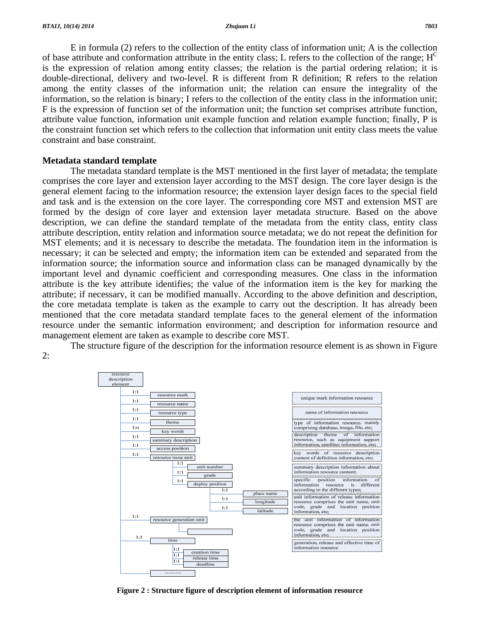E in formula (2) refers to the collection of the entity class of information unit; A is the collection of base attribute and conformation attribute in the entity class; L refers to the collection of the range;  $H<sup>C</sup>$ is the expression of relation among entity classes; the relation is the partial ordering relation; it is double-directional, delivery and two-level. R is different from R definition; R refers to the relation among the entity classes of the information unit; the relation can ensure the integrality of the information, so the relation is binary; I refers to the collection of the entity class in the information unit; F is the expression of function set of the information unit; the function set comprises attribute function, attribute value function, information unit example function and relation example function; finally, P is the constraint function set which refers to the collection that information unit entity class meets the value constraint and base constraint.

#### **Metadata standard template**

 The metadata standard template is the MST mentioned in the first layer of metadata; the template comprises the core layer and extension layer according to the MST design. The core layer design is the general element facing to the information resource; the extension layer design faces to the special field and task and is the extension on the core layer. The corresponding core MST and extension MST are formed by the design of core layer and extension layer metadata structure. Based on the above description, we can define the standard template of the metadata from the entity class, entity class attribute description, entity relation and information source metadata; we do not repeat the definition for MST elements; and it is necessary to describe the metadata. The foundation item in the information is necessary; it can be selected and empty; the information item can be extended and separated from the information source; the information source and information class can be managed dynamically by the important level and dynamic coefficient and corresponding measures. One class in the information attribute is the key attribute identifies; the value of the information item is the key for marking the attribute; if necessary, it can be modified manually. According to the above definition and description, the core metadata template is taken as the example to carry out the description. It has already been mentioned that the core metadata standard template faces to the general element of the information resource under the semantic information environment; and description for information resource and management element are taken as example to describe core MST.

 The structure figure of the description for the information resource element is as shown in Figure 2:



**Figure 2 : Structure figure of description element of information resource**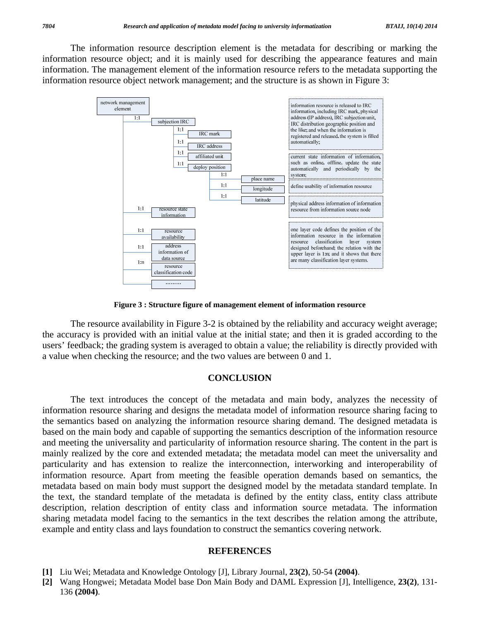The information resource description element is the metadata for describing or marking the information resource object; and it is mainly used for describing the appearance features and main information. The management element of the information resource refers to the metadata supporting the information resource object network management; and the structure is as shown in Figure 3:



**Figure 3 : Structure figure of management element of information resource** 

 The resource availability in Figure 3-2 is obtained by the reliability and accuracy weight average; the accuracy is provided with an initial value at the initial state; and then it is graded according to the users' feedback; the grading system is averaged to obtain a value; the reliability is directly provided with a value when checking the resource; and the two values are between 0 and 1.

#### **CONCLUSION**

 The text introduces the concept of the metadata and main body, analyzes the necessity of information resource sharing and designs the metadata model of information resource sharing facing to the semantics based on analyzing the information resource sharing demand. The designed metadata is based on the main body and capable of supporting the semantics description of the information resource and meeting the universality and particularity of information resource sharing. The content in the part is mainly realized by the core and extended metadata; the metadata model can meet the universality and particularity and has extension to realize the interconnection, interworking and interoperability of information resource. Apart from meeting the feasible operation demands based on semantics, the metadata based on main body must support the designed model by the metadata standard template. In the text, the standard template of the metadata is defined by the entity class, entity class attribute description, relation description of entity class and information source metadata. The information sharing metadata model facing to the semantics in the text describes the relation among the attribute, example and entity class and lays foundation to construct the semantics covering network.

#### **REFERENCES**

- **[1]** Liu Wei; Metadata and Knowledge Ontology [J], Library Journal, **23(2)**, 50-54 **(2004)**.
- **[2]** Wang Hongwei; Metadata Model base Don Main Body and DAML Expression [J], Intelligence, **23(2)**, 131- 136 **(2004)**.